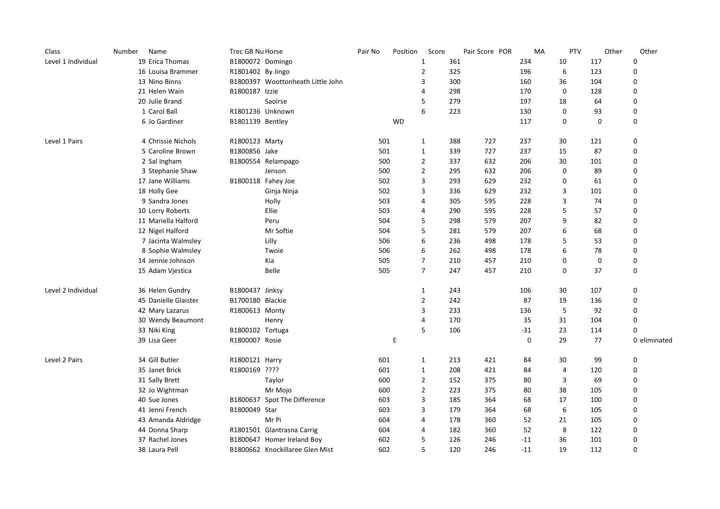| Class              | Name<br>Number       | Trec GB Nu Horse  |                                   | Pair No | Position  | Score          |     | Pair Score POR | MA    | PTV         | Other       | Other        |
|--------------------|----------------------|-------------------|-----------------------------------|---------|-----------|----------------|-----|----------------|-------|-------------|-------------|--------------|
| Level 1 Individual | 19 Erica Thomas      | B1800072 Domingo  |                                   |         |           | 1              | 361 |                | 234   | 10          | 117         | 0            |
|                    | 16 Louisa Brammer    | R1801402 By Jingo |                                   |         |           | $\overline{2}$ | 325 |                | 196   | 6           | 123         | 0            |
|                    | 13 Nino Binns        |                   | B1800397 Woottonheath Little John |         |           | 3              | 300 |                | 160   | 36          | 104         | 0            |
|                    | 21 Helen Wain        | B1800187 Izzie    |                                   |         |           | $\overline{4}$ | 298 |                | 170   | $\mathbf 0$ | 128         | 0            |
|                    | 20 Julie Brand       |                   | Saoirse                           |         |           | 5              | 279 |                | 197   | 18          | 64          | $\mathbf 0$  |
|                    | 1 Carol Ball         |                   | R1801236 Unknown                  |         |           | 6              | 223 |                | 130   | 0           | 93          | 0            |
|                    | 6 Jo Gardiner        | B1801139 Bentley  |                                   |         | <b>WD</b> |                |     |                | 117   | 0           | $\mathbf 0$ | 0            |
| Level 1 Pairs      | 4 Chrissie Nichols   | R1800123 Marty    |                                   | 501     |           | $\mathbf{1}$   | 388 | 727            | 237   | 30          | 121         | 0            |
|                    | 5 Caroline Brown     | B1800856 Jake     |                                   | 501     |           | $\mathbf{1}$   | 339 | 727            | 237   | 15          | 87          | $\pmb{0}$    |
|                    | 2 Sal Ingham         |                   | B1800554 Relampago                | 500     |           | $\overline{2}$ | 337 | 632            | 206   | 30          | 101         | $\mathbf 0$  |
|                    | 3 Stephanie Shaw     |                   | Jenson                            | 500     |           | $\overline{2}$ | 295 | 632            | 206   | 0           | 89          | 0            |
|                    | 17 Jane Williams     |                   | B1800118 Fahey Joe                | 502     |           | 3              | 293 | 629            | 232   | 0           | 61          | 0            |
|                    | 18 Holly Gee         |                   | Ginja Ninja                       | 502     |           | 3              | 336 | 629            | 232   | 3           | 101         | $\mathbf 0$  |
|                    | 9 Sandra Jones       |                   | Holly                             | 503     |           | $\overline{4}$ | 305 | 595            | 228   | 3           | 74          | 0            |
|                    | 10 Lorry Roberts     |                   | Ellie                             | 503     |           | 4              | 290 | 595            | 228   | 5           | 57          | 0            |
|                    | 11 Mariella Halford  |                   | Peru                              | 504     |           | 5              | 298 | 579            | 207   | 9           | 82          | $\mathbf 0$  |
|                    | 12 Nigel Halford     |                   | Mr Softie                         | 504     |           | 5              | 281 | 579            | 207   | 6           | 68          | $\mathbf 0$  |
|                    | 7 Jacinta Walmsley   |                   | Lilly                             | 506     |           | 6              | 236 | 498            | 178   | 5           | 53          | 0            |
|                    | 8 Sophie Walmsley    |                   | Twoie                             | 506     |           | 6              | 262 | 498            | 178   | 6           | 78          | 0            |
|                    | 14 Jennie Johnson    |                   | Kia                               | 505     |           | $\overline{7}$ | 210 | 457            | 210   | 0           | $\mathbf 0$ | 0            |
|                    | 15 Adam Vjestica     |                   | Belle                             | 505     |           | $\overline{7}$ | 247 | 457            | 210   | 0           | 37          | 0            |
| Level 2 Individual | 36 Helen Gundry      | B1800437 Jinksy   |                                   |         |           | $\mathbf{1}$   | 243 |                | 106   | 30          | 107         | 0            |
|                    | 45 Danielle Glaister | B1700180 Blackie  |                                   |         |           | $\overline{2}$ | 242 |                | 87    | 19          | 136         | $\mathbf 0$  |
|                    | 42 Mary Lazarus      | R1800613 Monty    |                                   |         |           | 3              | 233 |                | 136   | 5           | 92          | 0            |
|                    | 30 Wendy Beaumont    |                   | Henry                             |         |           | $\overline{4}$ | 170 |                | 35    | 31          | 104         | $\pmb{0}$    |
|                    | 33 Niki King         | B1800102 Tortuga  |                                   |         |           | 5              | 106 |                | $-31$ | 23          | 114         | 0            |
|                    | 39 Lisa Geer         | R1800007 Rosie    |                                   |         | Ε         |                |     |                | 0     | 29          | 77          | 0 eliminated |
| Level 2 Pairs      | 34 Gill Butler       | R1800121 Harry    |                                   | 601     |           | $\mathbf{1}$   | 213 | 421            | 84    | 30          | 99          | $\mathbf 0$  |
|                    | 35 Janet Brick       | R1800169 ????     |                                   | 601     |           | 1              | 208 | 421            | 84    | 4           | 120         | 0            |
|                    | 31 Sally Brett       |                   | Taylor                            | 600     |           | $\overline{2}$ | 152 | 375            | 80    | 3           | 69          | 0            |
|                    | 32 Jo Wightman       |                   | Mr Mojo                           | 600     |           | $\overline{2}$ | 223 | 375            | 80    | 38          | 105         | $\mathbf 0$  |
|                    | 40 Sue Jones         |                   | B1800637 Spot The Difference      | 603     |           | 3              | 185 | 364            | 68    | 17          | 100         | 0            |
|                    | 41 Jenni French      | B1800049 Star     |                                   | 603     |           | 3              | 179 | 364            | 68    | 6           | 105         | 0            |
|                    | 43 Amanda Aldridge   |                   | Mr Pi                             | 604     |           | $\overline{4}$ | 178 | 360            | 52    | 21          | 105         | $\mathbf 0$  |
|                    | 44 Donna Sharp       |                   | R1801501 Glantrasna Carrig        | 604     |           | $\overline{4}$ | 182 | 360            | 52    | 8           | 122         | $\mathbf 0$  |
|                    | 37 Rachel Jones      |                   | B1800647 Homer Ireland Boy        | 602     |           | 5              | 126 | 246            | $-11$ | 36          | 101         | 0            |
|                    | 38 Laura Pell        |                   | B1800662 Knockillaree Glen Mist   | 602     |           | 5              | 120 | 246            | $-11$ | 19          | 112         | 0            |